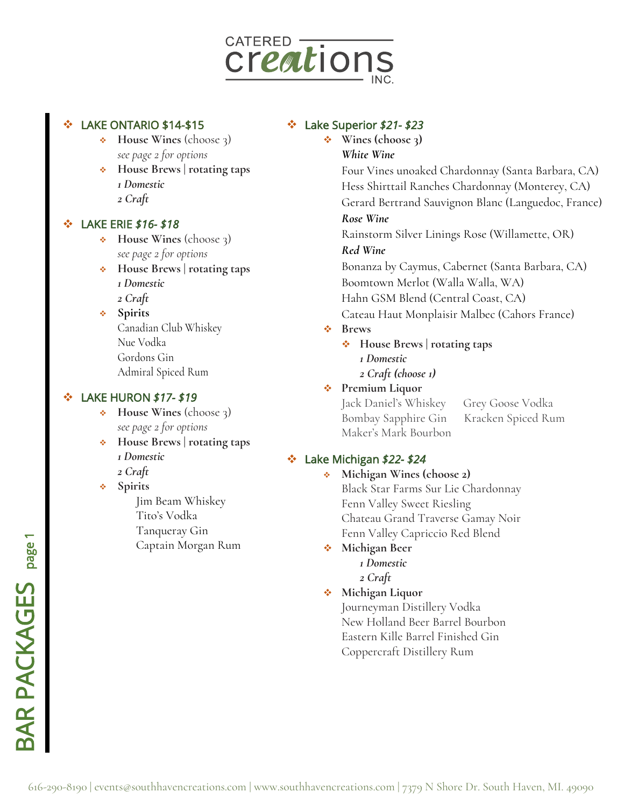

# LAKE ONTARIO \$14-\$15

- ❖ **House Wines** (choose 3) *see page 2 for options*
- ❖ **House Brews | rotating taps**  *1 Domestic*
- *2 Craft*

#### ❖ LAKE ERIE *\$16- \$18*

- ❖ **House Wines** (choose 3) *see page 2 for options*
- ❖ **House Brews | rotating taps** 
	- *1 Domestic*
	- *2 Craft*
- ❖ **Spirits** Canadian Club Whiskey Nue Vodka Gordons Gin Admiral Spiced Rum

### ❖ LAKE HURON *\$17- \$19*

- ❖ **House Wines** (choose 3) *see page 2 for options*
- ❖ **House Brews | rotating taps**  *1 Domestic*
	- *2 Craft*
- ❖ **Spirits** Jim Beam Whiskey Tito's Vodka Tanqueray Gin Captain Morgan Rum

# ❖ Lake Superior *\$21- \$23*

❖ **Wines (choose 3)** *White Wine*

> Four Vines unoaked Chardonnay (Santa Barbara, CA) Hess Shirttail Ranches Chardonnay (Monterey, CA) Gerard Bertrand Sauvignon Blanc (Languedoc, France)

#### *Rose Wine*

Rainstorm Silver Linings Rose (Willamette, OR)

#### *Red Wine*

Bonanza by Caymus, Cabernet (Santa Barbara, CA) Boomtown Merlot (Walla Walla, WA) Hahn GSM Blend (Central Coast, CA) Cateau Haut Monplaisir Malbec (Cahors France)

#### ❖ **Brews**

❖ **House Brews | rotating taps**  *1 Domestic 2 Craft (choose 1)* 

# ❖ **Premium Liquor**

Jack Daniel's Whiskey Grey Goose Vodka Bombay Sapphire Gin Kracken Spiced Rum Maker's Mark Bourbon

# ❖ Lake Michigan *\$22- \$24*

❖ **Michigan Wines (choose 2)**  Black Star Farms Sur Lie Chardonnay Fenn Valley Sweet Riesling Chateau Grand Traverse Gamay Noir Fenn Valley Capriccio Red Blend

# ❖ **Michigan Beer**

*1 Domestic 2 Craft* 

❖ **Michigan Liquor**

Journeyman Distillery Vodka New Holland Beer Barrel Bourbon Eastern Kille Barrel Finished Gin Coppercraft Distillery Rum